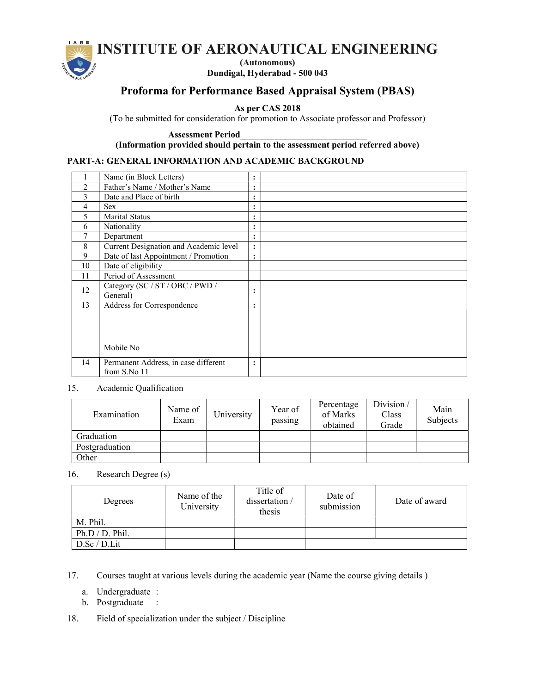# INSTITUTE OF AERONAUTICAL ENGINEERING



(Autonomous) Dundigal, Hyderabad - 500 043

## Proforma for Performance Based Appraisal System (PBAS)

As per CAS 2018

(To be submitted for consideration for promotion to Associate professor and Professor)

Assessment Period\_\_\_\_\_\_\_\_\_\_\_\_\_\_\_\_\_\_\_\_\_\_\_\_\_\_\_\_

(Information provided should pertain to the assessment period referred above)

## PART-A: GENERAL INFORMATION AND ACADEMIC BACKGROUND

|                | Name (in Block Letters)                              | :              |  |
|----------------|------------------------------------------------------|----------------|--|
| $\overline{2}$ | Father's Name / Mother's Name                        | $\ddot{\cdot}$ |  |
| 3              | Date and Place of birth                              | $\ddot{\cdot}$ |  |
| 4              | <b>Sex</b>                                           | $\bullet$<br>٠ |  |
| 5              | Marital Status                                       | ٠<br>٠         |  |
| 6              | Nationality                                          | ٠<br>٠         |  |
|                | Department                                           | $\bullet$<br>٠ |  |
| 8              | Current Designation and Academic level               | $\ddot{\cdot}$ |  |
| 9              | Date of last Appointment / Promotion                 | $\bullet$<br>٠ |  |
| 10             | Date of eligibility                                  |                |  |
| 11             | Period of Assessment                                 |                |  |
| 12             | Category (SC / ST / OBC / PWD /<br>General)          | ٠<br>٠         |  |
| 13             | Address for Correspondence<br>Mobile No              | ٠<br>٠         |  |
| 14             | Permanent Address, in case different<br>from S.No 11 | $\bullet$      |  |

## 15. Academic Qualification

| Examination    | Name of<br>Exam | University | Year of<br>passing | Percentage<br>of Marks<br>obtained | Division/<br>Class<br>Grade | Main<br>Subjects |
|----------------|-----------------|------------|--------------------|------------------------------------|-----------------------------|------------------|
| Graduation     |                 |            |                    |                                    |                             |                  |
| Postgraduation |                 |            |                    |                                    |                             |                  |
| Other          |                 |            |                    |                                    |                             |                  |

16. Research Degree (s)

| Degrees         | Name of the<br>University | Title of<br>dissertation /<br>thesis | Date of<br>submission | Date of award |
|-----------------|---------------------------|--------------------------------------|-----------------------|---------------|
| M. Phil.        |                           |                                      |                       |               |
| Ph.D / D. Phil. |                           |                                      |                       |               |
| D.Sc / D.Lit    |                           |                                      |                       |               |

17. Courses taught at various levels during the academic year (Name the course giving details )

a. Undergraduate :

b. Postgraduate :

18. Field of specialization under the subject / Discipline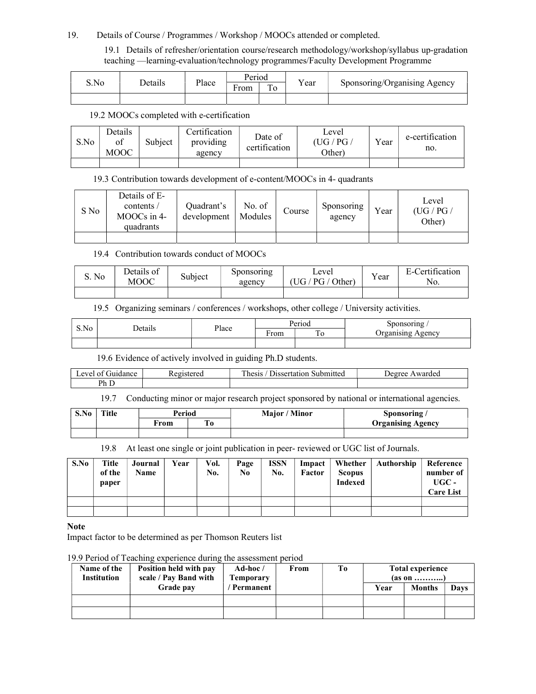#### 19. Details of Course / Programmes / Workshop / MOOCs attended or completed.

19.1 Details of refresher/orientation course/research methodology/workshop/syllabus up-gradation teaching —learning-evaluation/technology programmes/Faculty Development Programme

|      | Details | Place | Period                    |  | $\mathbf{v}$ |                              |
|------|---------|-------|---------------------------|--|--------------|------------------------------|
| S.No |         |       | ÷<br>$\mathbf{r}$<br>From |  | Y ear        | Sponsoring/Organising Agency |
|      |         |       |                           |  |              |                              |

## 19.2 MOOCs completed with e-certification

| S.No | Details<br>ot<br><b>MOOC</b> | Subject | Certification<br>providing<br>agency | Date of<br>certification | Level<br>'UG/PG<br>Other) | Vear | e-certification<br>no. |
|------|------------------------------|---------|--------------------------------------|--------------------------|---------------------------|------|------------------------|
|      |                              |         |                                      |                          |                           |      |                        |

#### 19.3 Contribution towards development of e-content/MOOCs in 4- quadrants

| S No | Details of E-<br>contents /<br>MOOCs in 4-<br>quadrants | Ouadrant's<br>development | No. of<br>Modules | Course | Sponsoring<br>agency | Year | Level<br>(UG / PG /<br>Other) |
|------|---------------------------------------------------------|---------------------------|-------------------|--------|----------------------|------|-------------------------------|
|      |                                                         |                           |                   |        |                      |      |                               |

#### 19.4 Contribution towards conduct of MOOCs

| S. No | Details of<br>MOOC | Subject | Sponsoring<br>agency | Level<br>$'$ Other)<br>UG / PG / | $\mathbf{v}$<br>Y ear | <b>Certification</b><br>H <sub>-</sub> (<br>No. |
|-------|--------------------|---------|----------------------|----------------------------------|-----------------------|-------------------------------------------------|
|       |                    |         |                      |                                  |                       |                                                 |

## 19.5 Organizing seminars / conferences / workshops, other college / University activities.

|      | $\cdot$ .      |       |      | Period | meoring /                       |
|------|----------------|-------|------|--------|---------------------------------|
| S.No | <b>Details</b> | Place | ∺rom | –      | . .<br>P <sub>0</sub><br>Agency |
|      |                |       |      |        |                                 |

19.6 Evidence of actively involved in guiding Ph.D students.

| $\sim$ $\sim$<br>. .evel of<br>Guidance<br>$\overline{ }$ | $\sim$<br>Registered | T1<br>Submitted<br>Jissertation<br>hesis | Deoree<br>Awarded |
|-----------------------------------------------------------|----------------------|------------------------------------------|-------------------|
| Ph D                                                      |                      |                                          |                   |

19.7 Conducting minor or major research project sponsored by national or international agencies.

| S.No | Title | Period |     | / Minor<br>Major/ | Sponsoring               |
|------|-------|--------|-----|-------------------|--------------------------|
|      |       | ∀rom   | I 0 |                   | <b>Organising Agency</b> |
|      |       |        |     |                   |                          |

19.8 At least one single or joint publication in peer- reviewed or UGC list of Journals.

| S.No | Title<br>of the<br>paper | Journal<br>Name | Year | Vol.<br>No. | Page<br>No | <b>ISSN</b><br>No. | Impact<br>Factor | Whether<br><b>Scopus</b><br><b>Indexed</b> | Authorship | Reference<br>number of<br>$UGC -$<br><b>Care List</b> |
|------|--------------------------|-----------------|------|-------------|------------|--------------------|------------------|--------------------------------------------|------------|-------------------------------------------------------|
|      |                          |                 |      |             |            |                    |                  |                                            |            |                                                       |
|      |                          |                 |      |             |            |                    |                  |                                            |            |                                                       |

**Note** 

Impact factor to be determined as per Thomson Reuters list

19.9 Period of Teaching experience during the assessment period

| Name of the<br><b>Institution</b> | Position held with pay<br>scale / Pay Band with | Ad-hoc $/$<br><b>Temporary</b> | From | Tо | <b>Total experience</b><br>(as on   ) |               |      |
|-----------------------------------|-------------------------------------------------|--------------------------------|------|----|---------------------------------------|---------------|------|
|                                   | Grade pay                                       | ' Permanent                    |      |    | Year                                  | <b>Months</b> | Davs |
|                                   |                                                 |                                |      |    |                                       |               |      |
|                                   |                                                 |                                |      |    |                                       |               |      |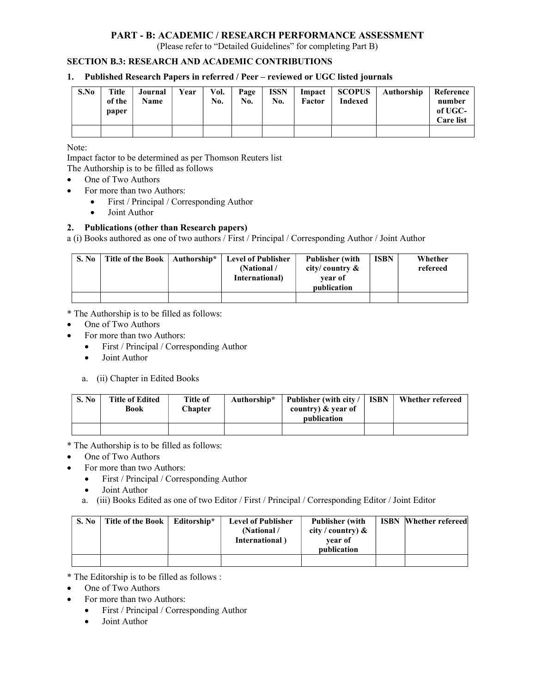## PART - B: ACADEMIC / RESEARCH PERFORMANCE ASSESSMENT

(Please refer to "Detailed Guidelines" for completing Part B)

#### SECTION B.3: RESEARCH AND ACADEMIC CONTRIBUTIONS

#### 1. Published Research Papers in referred / Peer – reviewed or UGC listed journals

| S.No | Title<br>of the<br>paper | Journal<br><b>Name</b> | Year | Vol.<br>No. | Page<br>No. | <b>ISSN</b><br>No. | Factor | Impact   SCOPUS  <br>Indexed | Authorship | Reference<br>number<br>of UGC-<br><b>Care list</b> |
|------|--------------------------|------------------------|------|-------------|-------------|--------------------|--------|------------------------------|------------|----------------------------------------------------|
|      |                          |                        |      |             |             |                    |        |                              |            |                                                    |

Note:

Impact factor to be determined as per Thomson Reuters list

The Authorship is to be filled as follows

- One of Two Authors
- For more than two Authors:
	- First / Principal / Corresponding Author
	- Joint Author

#### 2. Publications (other than Research papers)

a (i) Books authored as one of two authors / First / Principal / Corresponding Author / Joint Author

| S. No | Title of the Book | Authorship* | <b>Level of Publisher</b><br>(National /<br>International) | <b>Publisher (with)</b><br>city/country $\&$<br>vear of<br>publication | <b>ISBN</b> | Whether<br>refereed |
|-------|-------------------|-------------|------------------------------------------------------------|------------------------------------------------------------------------|-------------|---------------------|
|       |                   |             |                                                            |                                                                        |             |                     |

\* The Authorship is to be filled as follows:

- One of Two Authors
- For more than two Authors:
	- First / Principal / Corresponding Author
	- Joint Author
	- a. (ii) Chapter in Edited Books

| S. No | <b>Title of Edited</b><br>Book | Title of<br><b>Chapter</b> | Authorship* | Publisher (with city /<br>country) $\&$ year of<br>publication | <b>ISBN</b> | Whether refereed |
|-------|--------------------------------|----------------------------|-------------|----------------------------------------------------------------|-------------|------------------|
|       |                                |                            |             |                                                                |             |                  |

\* The Authorship is to be filled as follows:

- One of Two Authors
- For more than two Authors:
	- First / Principal / Corresponding Author
	- Joint Author
	- a. (iii) Books Edited as one of two Editor / First / Principal / Corresponding Editor / Joint Editor

| S. No | Title of the Book | Editorship* | <b>Level of Publisher</b><br>(National)<br>International) | <b>Publisher</b> (with<br>city / country) $\&$<br>vear of<br>publication | <b>ISBN</b> Whether refereed |
|-------|-------------------|-------------|-----------------------------------------------------------|--------------------------------------------------------------------------|------------------------------|
|       |                   |             |                                                           |                                                                          |                              |

\* The Editorship is to be filled as follows :

- One of Two Authors
	- For more than two Authors:
		- First / Principal / Corresponding Author
		- Joint Author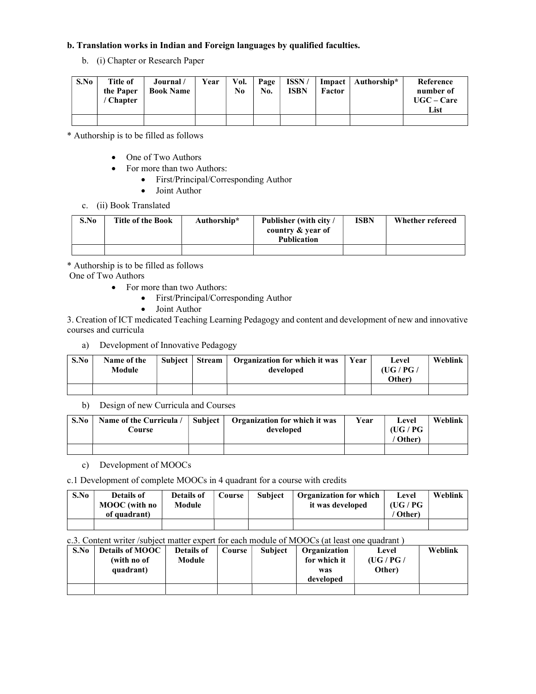## b. Translation works in Indian and Foreign languages by qualified faculties.

b. (i) Chapter or Research Paper

| S.No | <b>Title of</b><br>the Paper<br><b>Chapter</b> | Journal/<br><b>Book Name</b> | Year | Vol.<br>No | Page<br>No. | ISSN/<br><b>ISBN</b> | Factor | Impact   Authorship* | Reference<br>number of<br>$UGC - Care$<br>List |
|------|------------------------------------------------|------------------------------|------|------------|-------------|----------------------|--------|----------------------|------------------------------------------------|
|      |                                                |                              |      |            |             |                      |        |                      |                                                |

\* Authorship is to be filled as follows

- One of Two Authors
- For more than two Authors:
	- First/Principal/Corresponding Author
	- Joint Author
- c. (ii) Book Translated

| S.No | <b>Title of the Book</b> | Authorship* | <b>Publisher (with city /</b><br>country & year of<br><b>Publication</b> | ISBN | Whether refereed |
|------|--------------------------|-------------|--------------------------------------------------------------------------|------|------------------|
|      |                          |             |                                                                          |      |                  |

\* Authorship is to be filled as follows

One of Two Authors

- For more than two Authors:
	- First/Principal/Corresponding Author
		- Joint Author

3. Creation of ICT medicated Teaching Learning Pedagogy and content and development of new and innovative courses and curricula

a) Development of Innovative Pedagogy

| S.No | Name of the<br>Module | Subject   Stream | <b>Organization for which it was</b><br>developed | Year | Level<br>(UG / PG $/$<br>Other) | Weblink |
|------|-----------------------|------------------|---------------------------------------------------|------|---------------------------------|---------|
|      |                       |                  |                                                   |      |                                 |         |

b) Design of new Curricula and Courses

| S.No | Name of the Curricula /<br>Course | Subject | <b>Organization for which it was</b><br>developed | Year | Level<br>(UG / PG | Weblink |
|------|-----------------------------------|---------|---------------------------------------------------|------|-------------------|---------|
|      |                                   |         |                                                   |      | ' Other)          |         |

c) Development of MOOCs

c.1 Development of complete MOOCs in 4 quadrant for a course with credits

| S.No | Details of<br>MOOC (with no<br>of quadrant) | <b>Details of</b><br>Module | <b>Course</b> | <b>Subject</b> | <b>Organization for which</b><br>it was developed | Level<br>(UG / PG<br><b>Other</b> ) | Weblink |
|------|---------------------------------------------|-----------------------------|---------------|----------------|---------------------------------------------------|-------------------------------------|---------|
|      |                                             |                             |               |                |                                                   |                                     |         |

#### c.3. Content writer /subject matter expert for each module of MOOCs (at least one quadrant )

| S.No | <b>Details of MOOC</b> | Details of | Course | <b>Subject</b> | Organization | Level   | Weblink |
|------|------------------------|------------|--------|----------------|--------------|---------|---------|
|      | (with no of            | Module     |        |                | for which it | (UG/PG/ |         |
|      | quadrant)              |            |        |                | was          | Other)  |         |
|      |                        |            |        |                | developed    |         |         |
|      |                        |            |        |                |              |         |         |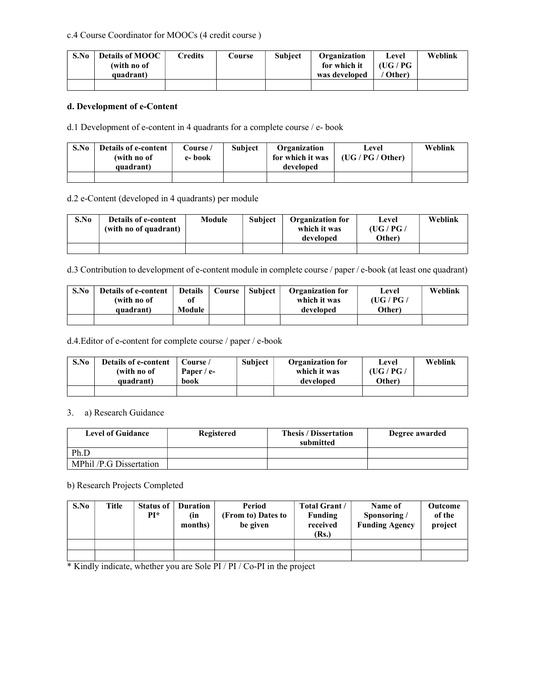#### c.4 Course Coordinator for MOOCs (4 credit course )

| S.No | <b>Details of MOOC</b><br>(with no of | Credits | Course | <b>Subject</b> | Organization<br>for which it | Level<br>(UG / PG- | Weblink |
|------|---------------------------------------|---------|--------|----------------|------------------------------|--------------------|---------|
|      | quadrant)                             |         |        |                | was developed                | Other)             |         |
|      |                                       |         |        |                |                              |                    |         |

#### d. Development of e-Content

d.1 Development of e-content in 4 quadrants for a complete course / e- book

| S.No | <b>Details of e-content</b><br>(with no of<br>quadrant) | Course /<br>e-book | <b>Subject</b> | Organization<br>for which it was<br>developed | Level<br>(UG/PG/Other) | Weblink |
|------|---------------------------------------------------------|--------------------|----------------|-----------------------------------------------|------------------------|---------|
|      |                                                         |                    |                |                                               |                        |         |

#### d.2 e-Content (developed in 4 quadrants) per module

| S.No | <b>Details of e-content</b><br>(with no of quadrant) | <b>Module</b> | <b>Subject</b> | <b>Organization for</b><br>which it was<br>developed | Level<br>(UG / PG $/$<br>Other) | Weblink |
|------|------------------------------------------------------|---------------|----------------|------------------------------------------------------|---------------------------------|---------|
|      |                                                      |               |                |                                                      |                                 |         |

d.3 Contribution to development of e-content module in complete course / paper / e-book (at least one quadrant)

| S.No | <b>Details of e-content</b> | <b>Details</b> | Course | <b>Subject</b> | <b>Organization for</b> | Level   | Weblink |
|------|-----------------------------|----------------|--------|----------------|-------------------------|---------|---------|
|      | (with no of                 | оf             |        |                | which it was            | (UG/PG/ |         |
|      | quadrant)                   | Module         |        |                | developed               | Other)  |         |
|      |                             |                |        |                |                         |         |         |

d.4.Editor of e-content for complete course / paper / e-book

| S.No | <b>Details of e-content</b> | Course /     | <b>Subject</b> | <b>Organization for</b> | Level   | Weblink |
|------|-----------------------------|--------------|----------------|-------------------------|---------|---------|
|      | (with no of                 | Paper / $e-$ |                | which it was            | (UG/PG/ |         |
|      | quadrant)                   | book         |                | developed               | Other)  |         |
|      |                             |              |                |                         |         |         |

#### 3. a) Research Guidance

| <b>Level of Guidance</b> | Registered | <b>Thesis / Dissertation</b><br>submitted | Degree awarded |
|--------------------------|------------|-------------------------------------------|----------------|
| Ph.D                     |            |                                           |                |
| MPhil /P.G Dissertation  |            |                                           |                |

#### b) Research Projects Completed

| S.No | Title | <b>Status of</b><br>$PI^*$ | <b>Duration</b><br>(in<br>months) | Period<br>(From to) Dates to<br>be given | <b>Total Grant /</b><br>Funding<br>received<br>(Rs.) | Name of<br>Sponsoring /<br><b>Funding Agency</b> | <b>Outcome</b><br>of the<br>project |
|------|-------|----------------------------|-----------------------------------|------------------------------------------|------------------------------------------------------|--------------------------------------------------|-------------------------------------|
|      |       |                            |                                   |                                          |                                                      |                                                  |                                     |
|      |       |                            |                                   |                                          |                                                      |                                                  |                                     |

\* Kindly indicate, whether you are Sole PI / PI / Co-PI in the project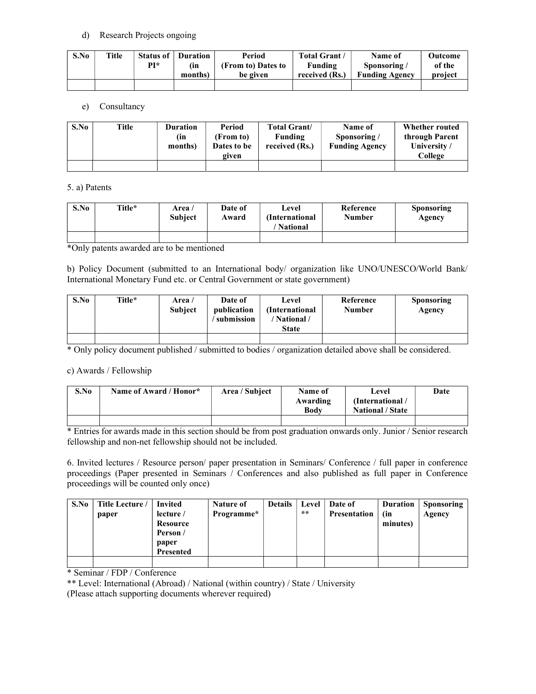#### d) Research Projects ongoing

| S.No | Title | Status of | <b>Duration</b> | Period             | <b>Total Grant</b> | Name of               | Outcome |
|------|-------|-----------|-----------------|--------------------|--------------------|-----------------------|---------|
|      |       | PI*       | (in             | (From to) Dates to | Funding            | Sponsoring/           | of the  |
|      |       |           | months)         | be given           | received (Rs.)     | <b>Funding Agency</b> | project |
|      |       |           |                 |                    |                    |                       |         |

## e) Consultancy

| S.No | Title | <b>Duration</b><br>(in<br>months) | Period<br>(From to)<br>Dates to be<br>given | <b>Total Grant</b> /<br>Funding<br>received (Rs.) | Name of<br>Sponsoring/<br><b>Funding Agency</b> | Whether routed<br>through Parent<br>University/<br>College |
|------|-------|-----------------------------------|---------------------------------------------|---------------------------------------------------|-------------------------------------------------|------------------------------------------------------------|
|      |       |                                   |                                             |                                                   |                                                 |                                                            |

## 5. a) Patents

| S.No | Title* | Area /<br><b>Subject</b> | Date of<br>Award | Level<br>(International<br><b>National</b> | Reference<br><b>Number</b> | Sponsoring<br>Agency |
|------|--------|--------------------------|------------------|--------------------------------------------|----------------------------|----------------------|
|      |        |                          |                  |                                            |                            |                      |

\*Only patents awarded are to be mentioned

b) Policy Document (submitted to an International body/ organization like UNO/UNESCO/World Bank/ International Monetary Fund etc. or Central Government or state government)

| S.No | Title* | Area /<br><b>Subject</b> | Date of<br>publication<br>' submission | Level<br>(International)<br>National /<br><b>State</b> | Reference<br><b>Number</b> | <b>Sponsoring</b><br>Agency |
|------|--------|--------------------------|----------------------------------------|--------------------------------------------------------|----------------------------|-----------------------------|
|      |        |                          |                                        |                                                        |                            |                             |

\* Only policy document published / submitted to bodies / organization detailed above shall be considered.

## c) Awards / Fellowship

| S.No | Name of Award / Honor* | Area / Subject | Name of<br>Awarding<br><b>Body</b> | Level<br>(International)<br><b>National / State</b> | Date |
|------|------------------------|----------------|------------------------------------|-----------------------------------------------------|------|
|      |                        |                |                                    |                                                     |      |

\* Entries for awards made in this section should be from post graduation onwards only. Junior / Senior research fellowship and non-net fellowship should not be included.

6. Invited lectures / Resource person/ paper presentation in Seminars/ Conference / full paper in conference proceedings (Paper presented in Seminars / Conferences and also published as full paper in Conference proceedings will be counted only once)

| S.No | Title Lecture / | <b>Invited</b>   | Nature of  | <b>Details</b> | Level | Date of             | <b>Duration</b> | Sponsoring |
|------|-----------------|------------------|------------|----------------|-------|---------------------|-----------------|------------|
|      | paper           | lecture /        | Programme* |                | $**$  | <b>Presentation</b> | (in             | Agency     |
|      |                 | Resource         |            |                |       |                     | minutes)        |            |
|      |                 | Person /         |            |                |       |                     |                 |            |
|      |                 | paper            |            |                |       |                     |                 |            |
|      |                 | <b>Presented</b> |            |                |       |                     |                 |            |
|      |                 |                  |            |                |       |                     |                 |            |

\* Seminar / FDP / Conference

\*\* Level: International (Abroad) / National (within country) / State / University

(Please attach supporting documents wherever required)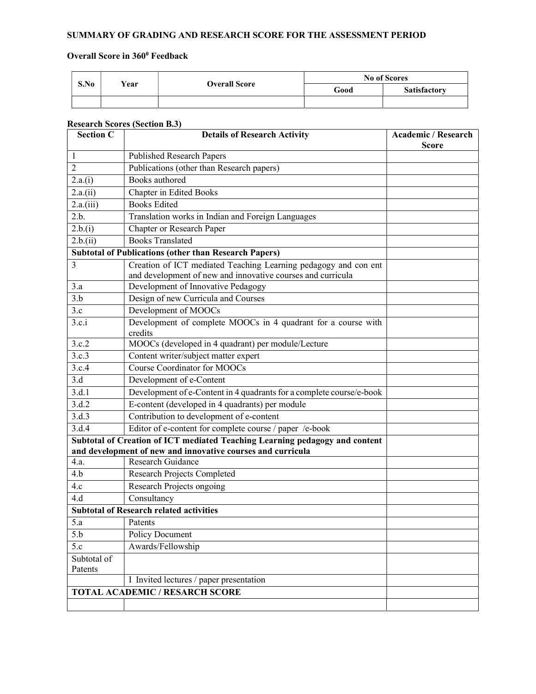## SUMMARY OF GRADING AND RESEARCH SCORE FOR THE ASSESSMENT PERIOD

#### Overall Score in 360<sup>0</sup> Feedback

| S.No |      | <b>Overall Score</b> | <b>No of Scores</b> |                     |  |
|------|------|----------------------|---------------------|---------------------|--|
|      | Vear |                      | Good                | <b>Satisfactory</b> |  |
|      |      |                      |                     |                     |  |

#### Research Scores (Section B.3)

| <b>Section C</b>                                                                                                                           | <b>Details of Research Activity</b>                                      | <b>Academic / Research</b><br><b>Score</b> |  |
|--------------------------------------------------------------------------------------------------------------------------------------------|--------------------------------------------------------------------------|--------------------------------------------|--|
| 1                                                                                                                                          | <b>Published Research Papers</b>                                         |                                            |  |
| $\overline{2}$                                                                                                                             | Publications (other than Research papers)                                |                                            |  |
| 2.a.(i)                                                                                                                                    | Books authored                                                           |                                            |  |
| 2.a.(ii)                                                                                                                                   | Chapter in Edited Books                                                  |                                            |  |
| 2.a.(iii)                                                                                                                                  | <b>Books Edited</b>                                                      |                                            |  |
| 2.b.                                                                                                                                       | Translation works in Indian and Foreign Languages                        |                                            |  |
| 2.b.(i)                                                                                                                                    | Chapter or Research Paper                                                |                                            |  |
| 2.b.(ii)                                                                                                                                   | <b>Books Translated</b>                                                  |                                            |  |
| <b>Subtotal of Publications (other than Research Papers)</b>                                                                               |                                                                          |                                            |  |
| 3                                                                                                                                          | Creation of ICT mediated Teaching Learning pedagogy and con ent          |                                            |  |
|                                                                                                                                            | and development of new and innovative courses and curricula              |                                            |  |
| 3.a                                                                                                                                        | Development of Innovative Pedagogy                                       |                                            |  |
| 3.b                                                                                                                                        | Design of new Curricula and Courses                                      |                                            |  |
| 3.c                                                                                                                                        | Development of MOOCs                                                     |                                            |  |
| 3.c.i                                                                                                                                      | Development of complete MOOCs in 4 quadrant for a course with<br>credits |                                            |  |
| 3.c.2                                                                                                                                      | MOOCs (developed in 4 quadrant) per module/Lecture                       |                                            |  |
| 3.c.3                                                                                                                                      | Content writer/subject matter expert                                     |                                            |  |
| 3.c.4                                                                                                                                      | <b>Course Coordinator for MOOCs</b>                                      |                                            |  |
| 3.d                                                                                                                                        | Development of e-Content                                                 |                                            |  |
| 3.d.1                                                                                                                                      | Development of e-Content in 4 quadrants for a complete course/e-book     |                                            |  |
| 3.d.2                                                                                                                                      | E-content (developed in 4 quadrants) per module                          |                                            |  |
| 3.d.3                                                                                                                                      | Contribution to development of e-content                                 |                                            |  |
| 3.d.4                                                                                                                                      | Editor of e-content for complete course / paper /e-book                  |                                            |  |
| Subtotal of Creation of ICT mediated Teaching Learning pedagogy and content<br>and development of new and innovative courses and curricula |                                                                          |                                            |  |
| 4.a.                                                                                                                                       | Research Guidance                                                        |                                            |  |
| 4.b                                                                                                                                        | <b>Research Projects Completed</b>                                       |                                            |  |
| 4.c                                                                                                                                        | Research Projects ongoing                                                |                                            |  |
| 4.d                                                                                                                                        | Consultancy                                                              |                                            |  |
| <b>Subtotal of Research related activities</b>                                                                                             |                                                                          |                                            |  |
| 5.a                                                                                                                                        | Patents                                                                  |                                            |  |
| 5.b                                                                                                                                        | <b>Policy Document</b>                                                   |                                            |  |
| 5.c                                                                                                                                        | Awards/Fellowship                                                        |                                            |  |
| Subtotal of                                                                                                                                |                                                                          |                                            |  |
| Patents                                                                                                                                    |                                                                          |                                            |  |
|                                                                                                                                            | I Invited lectures / paper presentation                                  |                                            |  |
|                                                                                                                                            | <b>TOTAL ACADEMIC / RESARCH SCORE</b>                                    |                                            |  |
|                                                                                                                                            |                                                                          |                                            |  |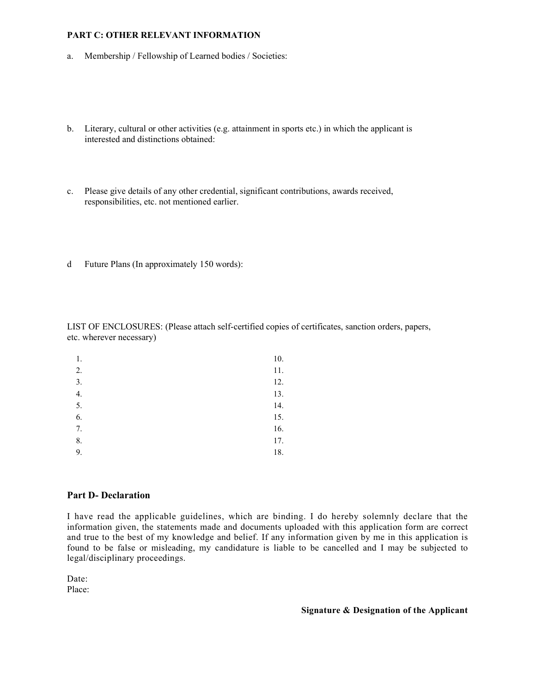#### PART C: OTHER RELEVANT INFORMATION

- a. Membership / Fellowship of Learned bodies / Societies:
- b. Literary, cultural or other activities (e.g. attainment in sports etc.) in which the applicant is interested and distinctions obtained:
- c. Please give details of any other credential, significant contributions, awards received, responsibilities, etc. not mentioned earlier.
- d Future Plans (In approximately 150 words):

LIST OF ENCLOSURES: (Please attach self-certified copies of certificates, sanction orders, papers, etc. wherever necessary)

| 1. | 10. |
|----|-----|
| 2. | 11. |
| 3. | 12. |
| 4. | 13. |
| 5. | 14. |
| 6. | 15. |
| 7. | 16. |
| 8. | 17. |
| 9. | 18. |

#### Part D- Declaration

I have read the applicable guidelines, which are binding. I do hereby solemnly declare that the information given, the statements made and documents uploaded with this application form are correct and true to the best of my knowledge and belief. If any information given by me in this application is found to be false or misleading, my candidature is liable to be cancelled and I may be subjected to legal/disciplinary proceedings.

Date:

Place:

Signature & Designation of the Applicant